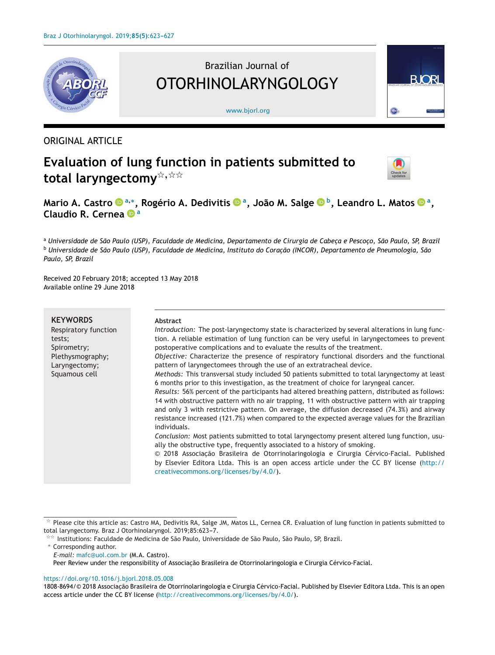

# Brazilian Journal of OTORHINOLARYNGOLOGY

[www.bjorl.org](http://www.bjorl.org)



### ORIGINAL ARTICLE

## **Evaluation of lung function in patients submitted to total laryngectomy**-**,**--



**Mario A. Castro <sup>a</sup>,∗, Rogério A. Dedivitis a, João M. Salg[e](https://orcid.org/0000-0001-5121-0129) b, Leandro L. Matos a, Claudio R. Cernea <sup>a</sup>**

a Universidade de São Paulo (USP), Faculdade de Medicina, Departamento de Cirurgia de Cabeça e Pescoço, São Paulo, SP, Brazil <sup>b</sup> Universidade de São Paulo (USP), Faculdade de Medicina, Instituto do Coração (INCOR), Departamento de Pneumologia, São *Paulo, SP, Brazil*

Received 20 February 2018; accepted 13 May 2018 Available online 29 June 2018

#### **KEYWORDS**

Respiratory function tests; Spirometry; Plethysmography; Laryngectomy; Squamous cell

#### **Abstract**

*Introduction:* The post-laryngectomy state is characterized by several alterations in lung function. A reliable estimation of lung function can be very useful in laryngectomees to prevent postoperative complications and to evaluate the results of the treatment.

*Objective:* Characterize the presence of respiratory functional disorders and the functional pattern of laryngectomees through the use of an extratracheal device.

*Methods:* This transversal study included 50 patients submitted to total laryngectomy at least 6 months prior to this investigation, as the treatment of choice for laryngeal cancer.

*Results:* 56% percent of the participants had altered breathing pattern, distributed as follows: 14 with obstructive pattern with no air trapping, 11 with obstructive pattern with air trapping and only 3 with restrictive pattern. On average, the diffusion decreased (74.3%) and airway resistance increased (121.7%) when compared to the expected average values for the Brazilian individuals.

*Conclusion:* Most patients submitted to total laryngectomy present altered lung function, usually the obstructive type, frequently associated to a history of smoking.

© 2018 Associação Brasileira de Otorrinolaringologia e Cirurgia Cérvico-Facial. Published by Elsevier Editora Ltda. This is an open access article under the CC BY license ([http://](http://creativecommons.org/licenses/by/4.0/) [creativecommons.org/licenses/by/4.0/](http://creativecommons.org/licenses/by/4.0/)).

∗ Corresponding author. *E-mail:* [mafc@uol.com.br](mailto:mafc@uol.com.br) (M.A. Castro). Peer Review under the responsibility of Associação Brasileira de Otorrinolaringologia e Cirurgia Cérvico-Facial.

<https://doi.org/10.1016/j.bjorl.2018.05.008>

1808-8694/© 2018 Associação Brasileira de Otorrinolaringologia e Cirurgia Cérvico-Facial. Published by Elsevier Editora Ltda. This is an open access article under the CC BY license [\(http://creativecommons.org/licenses/by/4.0/\)](http://creativecommons.org/licenses/by/4.0/).

 $^\star$  Please cite this article as: Castro MA, Dedivitis RA, Salge JM, Matos LL, Cernea CR. Evaluation of lung function in patients submitted to total laryngectomy. Braz J Otorhinolaryngol. 2019;85:623-7.

<sup>-</sup>- Institutions: Faculdade de Medicina de São Paulo, Universidade de São Paulo, São Paulo, SP, Brazil.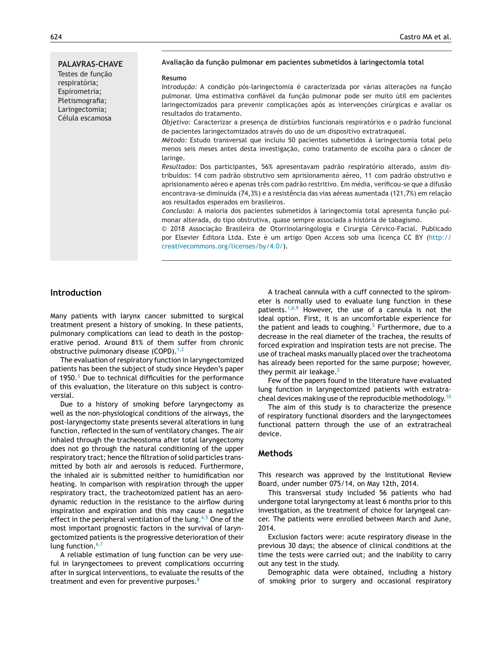**PALAVRAS-CHAVE** Testes de funcão respiratória; Espirometria; Pletismografia; Laringectomia; Célula escamosa

#### **Avaliac¸ão da func¸ão pulmonar em pacientes submetidos à laringectomia total**

#### **Resumo**

*Introdução:* A condição pós-laringectomia é caracterizada por várias alterações na função pulmonar. Uma estimativa confiável da funcão pulmonar pode ser muito útil em pacientes laringectomizados para prevenir complicações após as intervenções cirúrgicas e avaliar os resultados do tratamento.

*Objetivo:* Caracterizar a presenca de distúrbios funcionais respiratórios e o padrão funcional de pacientes laringectomizados através do uso de um dispositivo extratraqueal.

*Método:* Estudo transversal que incluiu 50 pacientes submetidos à laringectomia total pelo menos seis meses antes desta investigação, como tratamento de escolha para o câncer de laringe.

*Resultados:* Dos participantes, 56% apresentavam padrão respiratório alterado, assim distribuídos: 14 com padrão obstrutivo sem aprisionamento aéreo, 11 com padrão obstrutivo e aprisionamento aéreo e apenas três com padrão restritivo. Em média, verificou-se que a difusão encontrava-se diminuída (74,3%) e a resistência das vias aéreas aumentada (121,7%) em relação aos resultados esperados em brasileiros.

Conclusão: A maioria dos pacientes submetidos à laringectomia total apresenta função pulmonar alterada, do tipo obstrutiva, quase sempre associada a história de tabagismo.

 $© 2018 Associação Brasileira de Otorrinolaringologia e Cirurgia Cérvico-Facial. Publicado$ por Elsevier Editora Ltda. Este é um artigo Open Access sob uma licenca CC BY [\(http://](http://creativecommons.org/licenses/by/4.0/) [creativecommons.org/licenses/by/4.0/\)](http://creativecommons.org/licenses/by/4.0/).

#### **Introduction**

Many patients with larynx cancer submitted to surgical treatment present a history of smoking. In these patients, pulmonary complications can lead to death in the postoperative period. Around 81% of them suffer from chronic obstructive pulmonary disease (COPD).<sup>[1,2](#page-4-0)</sup>

The evaluation of respiratory function in laryngectomized patients has been the subject of study since Heyden's paper of 1950.<sup>[3](#page-4-0)</sup> Due to technical difficulties for the performance of this evaluation, the literature on this subject is controversial.

Due to a history of smoking before laryngectomy as well as the non-physiological conditions of the airways, the post-laryngectomy state presents several alterations in lung function, reflected in the sum of ventilatory changes. The air inhaled through the tracheostoma after total laryngectomy does not go through the natural conditioning of the upper respiratory tract; hence the filtration of solid particles transmitted by both air and aerosols is reduced. Furthermore, the inhaled air is submitted neither to humidification nor heating. In comparison with respiration through the upper respiratory tract, the tracheotomized patient has an aerodynamic reduction in the resistance to the airflow during inspiration and expiration and this may cause a negative effect in the peripheral ventilation of the lung.<sup>[4,5](#page-4-0)</sup> One of the most important prognostic factors in the survival of laryngectomized patients is the progressive deterioration of their lung function. $6,7$ 

A reliable estimation of lung function can be very useful in laryngectomees to prevent complications occurring after in surgical interventions, to evaluate the results of the treatment and even for preventive purposes.<sup>[8](#page-4-0)</sup>

A tracheal cannula with a cuff connected to the spirometer is normally used to evaluate lung function in these patients.<sup>[1,6,9](#page-4-0)</sup> However, the use of a cannula is not the ideal option. First, it is an uncomfortable experience for the patient and leads to coughing.<sup>[5](#page-4-0)</sup> Furthermore, due to a decrease in the real diameter of the trachea, the results of forced expiration and inspiration tests are not precise. The use of tracheal masks manually placed over the tracheotoma has already been reported for the same purpose; however, they permit air leakage. $<sup>2</sup>$  $<sup>2</sup>$  $<sup>2</sup>$ </sup>

Few of the papers found in the literature have evaluated lung function in laryngectomized patients with extratra-cheal devices making use of the reproducible methodology.<sup>[10](#page-4-0)</sup>

The aim of this study is to characterize the presence of respiratory functional disorders and the laryngectomees functional pattern through the use of an extratracheal device.

#### **Methods**

This research was approved by the Institutional Review Board, under number 075/14, on May 12th, 2014.

This transversal study included 56 patients who had undergone total laryngectomy at least 6 months prior to this investigation, as the treatment of choice for laryngeal cancer. The patients were enrolled between March and June, 2014.

Exclusion factors were: acute respiratory disease in the previous 30 days; the absence of clinical conditions at the time the tests were carried out; and the inability to carry out any test in the study.

Demographic data were obtained, including a history of smoking prior to surgery and occasional respiratory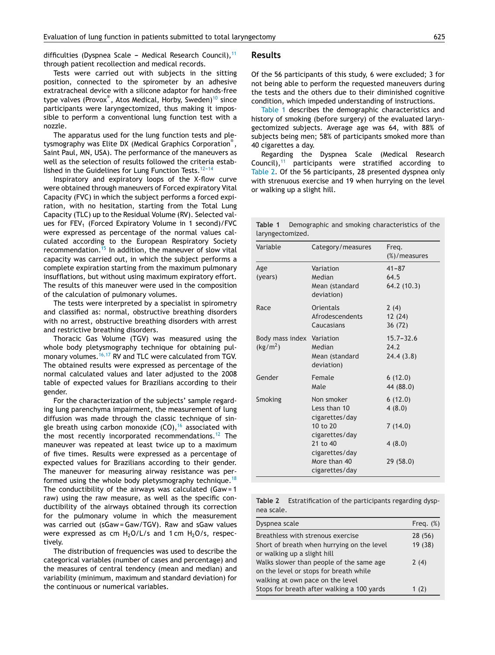difficulties (Dyspnea Scale - Medical Research Council),  $11$ through patient recollection and medical records.

#### Tests were carried out with subjects in the sitting position, connected to the spirometer by an adhesive extratracheal device with a silicone adaptor for hands-free type valves (Provox®, Atos Medical, Horby, Sweden)<sup>[10](#page-4-0)</sup> since participants were laryngectomized, thus making it impossible to perform a conventional lung function test with a nozzle.

The apparatus used for the lung function tests and pletysmography was Elite DX (Medical Graphics Corporation® , Saint Paul, MN, USA). The performance of the maneuvers as well as the selection of results followed the criteria established in the Guidelines for Lung Function Tests. $12-14$ 

Inspiratory and expiratory loops of the X-flow curve were obtained through maneuvers of Forced expiratory Vital Capacity (FVC) in which the subject performs a forced expiration, with no hesitation, starting from the Total Lung Capacity (TLC) up to the Residual Volume (RV). Selected values for FEV<sub>1</sub> (Forced Expiratory Volume in 1 second)/FVC were expressed as percentage of the normal values calculated according to the European Respiratory Society recommendation.<sup>[15](#page-4-0)</sup> In addition, the maneuver of slow vital capacity was carried out, in which the subject performs a complete expiration starting from the maximum pulmonary insufflations, but without using maximum expiratory effort. The results of this maneuver were used in the composition of the calculation of pulmonary volumes.

The tests were interpreted by a specialist in spirometry and classified as: normal, obstructive breathing disorders with no arrest, obstructive breathing disorders with arrest and restrictive breathing disorders.

Thoracic Gas Volume (TGV) was measured using the whole body pletysmography technique for obtaining pul-monary volumes.<sup>[16,17](#page-4-0)</sup> RV and TLC were calculated from TGV. The obtained results were expressed as percentage of the normal calculated values and later adjusted to the 2008 table of expected values for Brazilians according to their gender.

For the characterization of the subjects' sample regarding lung parenchyma impairment, the measurement of lung diffusion was made through the classic technique of single breath using carbon monoxide  $(CO)$ , <sup>[16](#page-4-0)</sup> associated with the most recently incorporated recommendations.<sup>[12](#page-4-0)</sup> The maneuver was repeated at least twice up to a maximum of five times. Results were expressed as a percentage of expected values for Brazilians according to their gender. The maneuver for measuring airway resistance was per-formed using the whole body pletysmography technique.<sup>[18](#page-4-0)</sup> The conductibility of the airways was calculated (Gaw =  $1$ raw) using the raw measure, as well as the specific conductibility of the airways obtained through its correction for the pulmonary volume in which the measurement was carried out (sGaw =Gaw/TGV). Raw and sGaw values were expressed as cm  $H_2O/L/s$  and 1 cm  $H_2O/s$ , respectively.

The distribution of frequencies was used to describe the categorical variables (number of cases and percentage) and the measures of central tendency (mean and median) and variability (minimum, maximum and standard deviation) for the continuous or numerical variables.

#### **Results**

Of the 56 participants of this study, 6 were excluded; 3 for not being able to perform the requested maneuvers during the tests and the others due to their diminished cognitive condition, which impeded understanding of instructions.

Table 1 describes the demographic characteristics and history of smoking (before surgery) of the evaluated laryngectomized subjects. Average age was 64, with 88% of subjects being men; 58% of participants smoked more than 40 cigarettes a day.

Regarding the Dyspnea Scale (Medical Research Council), $11$  participants were stratified according to Table 2. Of the 56 participants, 28 presented dyspnea only with strenuous exercise and 19 when hurrying on the level or walking up a slight hill.

**Table 1** Demographic and smoking characteristics of the laryngectomized.

| Variable                                          | Category/measures                                   | Freg.<br>(%)/measures              |
|---------------------------------------------------|-----------------------------------------------------|------------------------------------|
| Age<br>(years)                                    | Variation<br>Median<br>Mean (standard<br>deviation) | $41 - 87$<br>64.5<br>64.2 (10.3)   |
| Race                                              | <b>Orientals</b><br>Afrodescendents<br>Caucasians   | 2(4)<br>12 (24)<br>36 (72)         |
| Body mass index Variation<br>(kg/m <sup>2</sup> ) | Median<br>Mean (standard<br>deviation)              | $15.7 - 32.6$<br>24.2<br>24.4(3.8) |
| Gender                                            | Female<br>Male                                      | 6(12.0)<br>44 (88.0)               |
| Smoking                                           | Non smoker<br>Less than 10<br>cigarettes/day        | 6(12.0)<br>4(8.0)                  |
|                                                   | 10 to 20<br>cigarettes/day                          | 7(14.0)                            |
|                                                   | 21 to 40<br>cigarettes/day                          | 4(8.0)                             |
|                                                   | More than 40<br>cigarettes/day                      | 29 (58.0)                          |

**Table 2** Estratification of the participants regarding dyspnea scale.

| Dyspnea scale                              | Freq. $(\%)$ |
|--------------------------------------------|--------------|
| Breathless with strenous exercise          | 28 (56)      |
| Short of breath when hurrying on the level | 19 (38)      |
| or walking up a slight hill                |              |
| Walks slower than people of the same age   | 2(4)         |
| on the level or stops for breath while     |              |
| walking at own pace on the level           |              |
| Stops for breath after walking a 100 yards | 1 $(2)$      |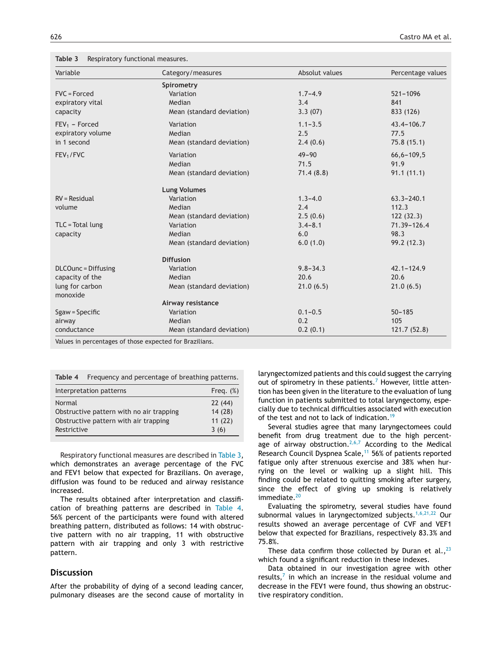**Table 3** Respiratory functional measures.

| Variable              | Category/measures         | Absolut values | Percentage values |
|-----------------------|---------------------------|----------------|-------------------|
|                       | Spirometry                |                |                   |
| $FVC = Forced$        | Variation                 | $1.7 - 4.9$    | $521 - 1096$      |
| expiratory vital      | Median                    | 3.4            | 841               |
| capacity              | Mean (standard deviation) | 3.3(07)        | 833 (126)         |
| $FEV_1$ – Forced      | Variation                 | $1.1 - 3.5$    | $43.4 - 106.7$    |
| expiratory volume     | Median                    | 2.5            | 77.5              |
| in 1 second           | Mean (standard deviation) | 2.4(0.6)       | 75.8(15.1)        |
| FEV <sub>1</sub> /FVC | Variation                 | $49 - 90$      | $66, 6 - 109, 5$  |
|                       | Median                    | 71.5           | 91.9              |
|                       | Mean (standard deviation) | 71.4(8.8)      | 91.1(11.1)        |
|                       | <b>Lung Volumes</b>       |                |                   |
| $RV = Residual$       | Variation                 | $1.3 - 4.0$    | $63.3 - 240.1$    |
| volume                | Median                    | 2.4            | 112.3             |
|                       | Mean (standard deviation) | 2.5(0.6)       | 122(32.3)         |
| TLC = Total lung      | Variation                 | $3.4 - 8.1$    | 71.39-126.4       |
| capacity              | Median                    | 6.0            | 98.3              |
|                       | Mean (standard deviation) | 6.0(1.0)       | 99.2 (12.3)       |
|                       | <b>Diffusion</b>          |                |                   |
| DLCOunc = Diffusing   | Variation                 | $9.8 - 34.3$   | $42.1 - 124.9$    |
| capacity of the       | Median                    | 20.6           | 20.6              |
| lung for carbon       | Mean (standard deviation) | 21.0(6.5)      | 21.0(6.5)         |
| monoxide              |                           |                |                   |
|                       | Airway resistance         |                |                   |
| Sgaw = Specific       | Variation                 | $0.1 - 0.5$    | $50 - 185$        |
| airway                | Median                    | 0.2            | 105               |
| conductance           | Mean (standard deviation) | 0.2(0.1)       | 121.7(52.8)       |

Values in percentages of those expected for Brazilians.

| Table 4                                                                                                    | Frequency and percentage of breathing patterns. |                                    |  |
|------------------------------------------------------------------------------------------------------------|-------------------------------------------------|------------------------------------|--|
| Interpretation patterns<br>Freq. $(\%)$                                                                    |                                                 |                                    |  |
| Normal<br>Obstructive pattern with no air trapping<br>Obstructive pattern with air trapping<br>Restrictive |                                                 | 22(44)<br>14(28)<br>11(22)<br>3(6) |  |

Respiratory functional measures are described in Table 3, which demonstrates an average percentage of the FVC and FEV1 below that expected for Brazilians. On average, diffusion was found to be reduced and airway resistance increased.

The results obtained after interpretation and classification of breathing patterns are described in Table 4. 56% percent of the participants were found with altered breathing pattern, distributed as follows: 14 with obstructive pattern with no air trapping, 11 with obstructive pattern with air trapping and only 3 with restrictive pattern.

#### **Discussion**

After the probability of dying of a second leading cancer, pulmonary diseases are the second cause of mortality in laryngectomized patients and this could suggest the carrying out of spirometry in these patients.<sup>[7](#page-4-0)</sup> However, little attention has been given in the literature to the evaluation of lung function in patients submitted to total laryngectomy, especially due to technical difficulties associated with execution of the test and not to lack of indication.<sup>[19](#page-4-0)</sup>

Several studies agree that many laryngectomees could benefit from drug treatment due to the high percent-age of airway obstruction.<sup>[2,6,7](#page-4-0)</sup> According to the Medical Research Council Dyspnea Scale,<sup>[11](#page-4-0)</sup> 56% of patients reported fatigue only after strenuous exercise and 38% when hurrying on the level or walking up a slight hill. This finding could be related to quitting smoking after surgery, since the effect of giving up smoking is relatively immediate.<sup>[20](#page-4-0)</sup>

Evaluating the spirometry, several studies have found subnormal values in laryngectomized subjects.<sup>[1,6,21,22](#page-4-0)</sup> Our results showed an average percentage of CVF and VEF1 below that expected for Brazilians, respectively 83.3% and 75.8%.

These data confirm those collected by Duran et al.,  $^{23}$  $^{23}$  $^{23}$ which found a significant reduction in these indexes.

Data obtained in our investigation agree with other results, $<sup>7</sup>$  $<sup>7</sup>$  $<sup>7</sup>$  in which an increase in the residual volume and</sup> decrease in the FEV1 were found, thus showing an obstructive respiratory condition.